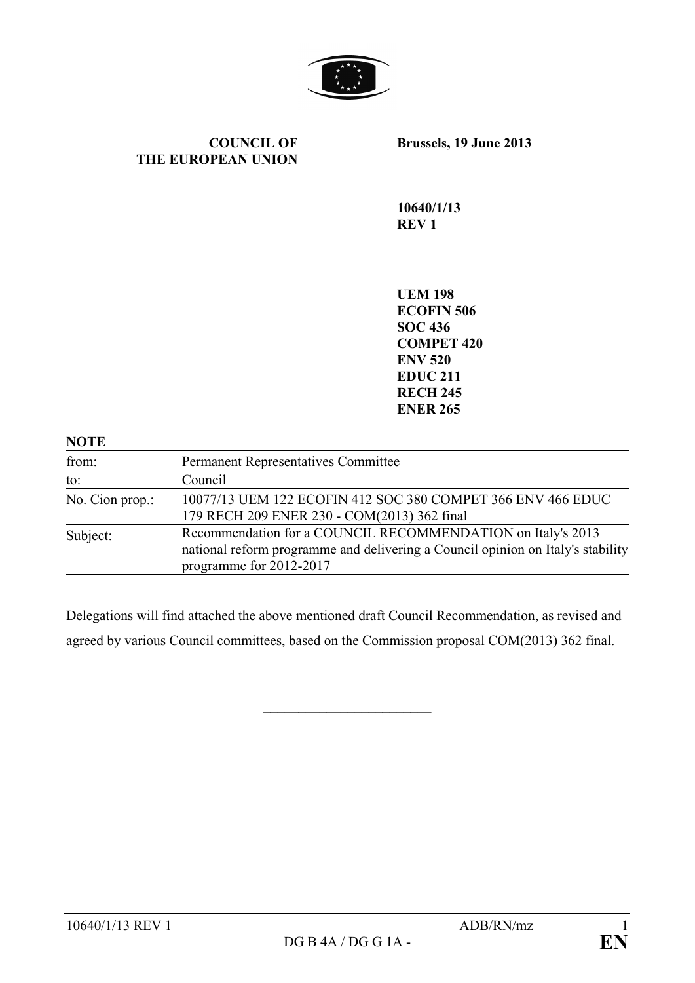

#### **COUNCIL OF THE EUROPEAN UNION**

**Brussels, 19 June 2013**

**10640/1/13 REV 1**

**UEM 198 ECOFIN 506 SOC 436 COMPET 420 ENV 520 EDUC 211 RECH 245 ENER 265**

| <b>NOTE</b>     |                                                                                                                                                                           |
|-----------------|---------------------------------------------------------------------------------------------------------------------------------------------------------------------------|
| from:           | <b>Permanent Representatives Committee</b>                                                                                                                                |
| to:             | Council                                                                                                                                                                   |
| No. Cion prop.: | 10077/13 UEM 122 ECOFIN 412 SOC 380 COMPET 366 ENV 466 EDUC<br>179 RECH 209 ENER 230 - COM(2013) 362 final                                                                |
| Subject:        | Recommendation for a COUNCIL RECOMMENDATION on Italy's 2013<br>national reform programme and delivering a Council opinion on Italy's stability<br>programme for 2012-2017 |

Delegations will find attached the above mentioned draft Council Recommendation, as revised and agreed by various Council committees, based on the Commission proposal COM(2013) 362 final.

 $\overline{\phantom{a}}$  , which is a set of the set of the set of the set of the set of the set of the set of the set of the set of the set of the set of the set of the set of the set of the set of the set of the set of the set of th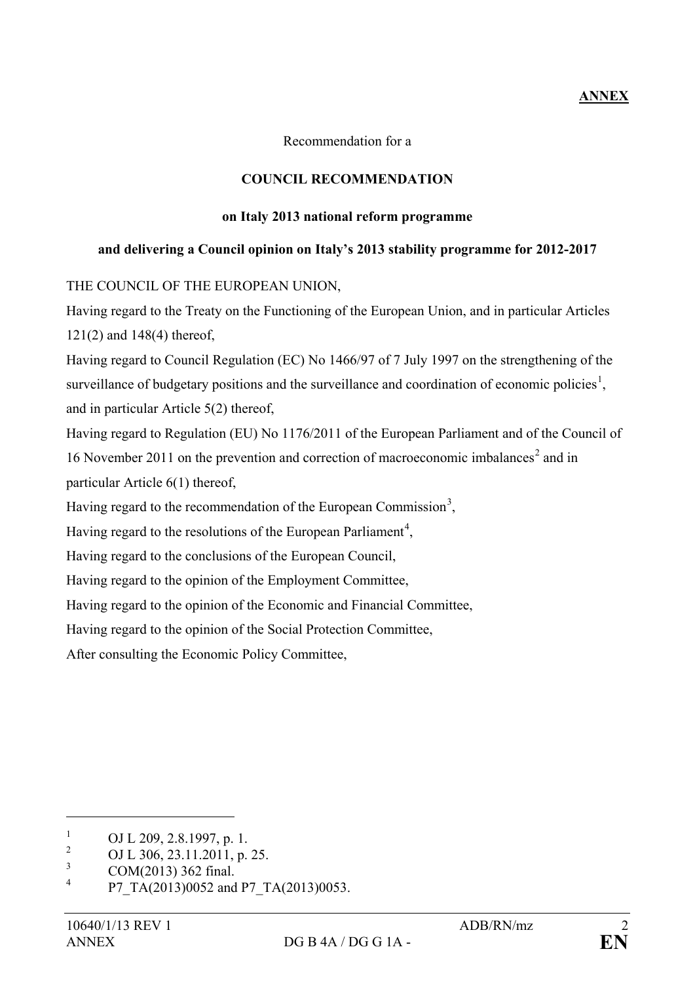# **ANNEX**

Recommendation for a

## **COUNCIL RECOMMENDATION**

### **on Italy 2013 national reform programme**

### **and delivering a Council opinion on Italy's 2013 stability programme for 2012-2017**

THE COUNCIL OF THE EUROPEAN UNION,

Having regard to the Treaty on the Functioning of the European Union, and in particular Articles 121(2) and 148(4) thereof,

Having regard to Council Regulation (EC) No 1466/97 of 7 July 1997 on the strengthening of the surveillance of budgetary positions and the surveillance and coordination of economic policies<sup>[1](#page-1-0)</sup>, and in particular Article 5(2) thereof,

Having regard to Regulation (EU) No 1176/2011 of the European Parliament and of the Council of 16 November [2](#page-1-1)011 on the prevention and correction of macroeconomic imbalances<sup>2</sup> and in particular Article 6(1) thereof,

Having regard to the recommendation of the European Commission<sup>[3](#page-1-2)</sup>,

Having regard to the resolutions of the European Parliament<sup>[4](#page-1-3)</sup>,

Having regard to the conclusions of the European Council,

Having regard to the opinion of the Employment Committee,

Having regard to the opinion of the Economic and Financial Committee,

Having regard to the opinion of the Social Protection Committee,

After consulting the Economic Policy Committee,

<span id="page-1-0"></span><sup>&</sup>lt;sup>1</sup> OJ L 209, 2.8.1997, p. 1.<br><sup>2</sup> OJ L 206, 22, 11, 2011, p.

<span id="page-1-1"></span><sup>&</sup>lt;sup>2</sup> OJ L 306, 23.11.2011, p. 25.

<span id="page-1-2"></span> $\frac{3}{4}$  COM(2013) 362 final.

<span id="page-1-3"></span>P7\_TA(2013)0052 and P7\_TA(2013)0053.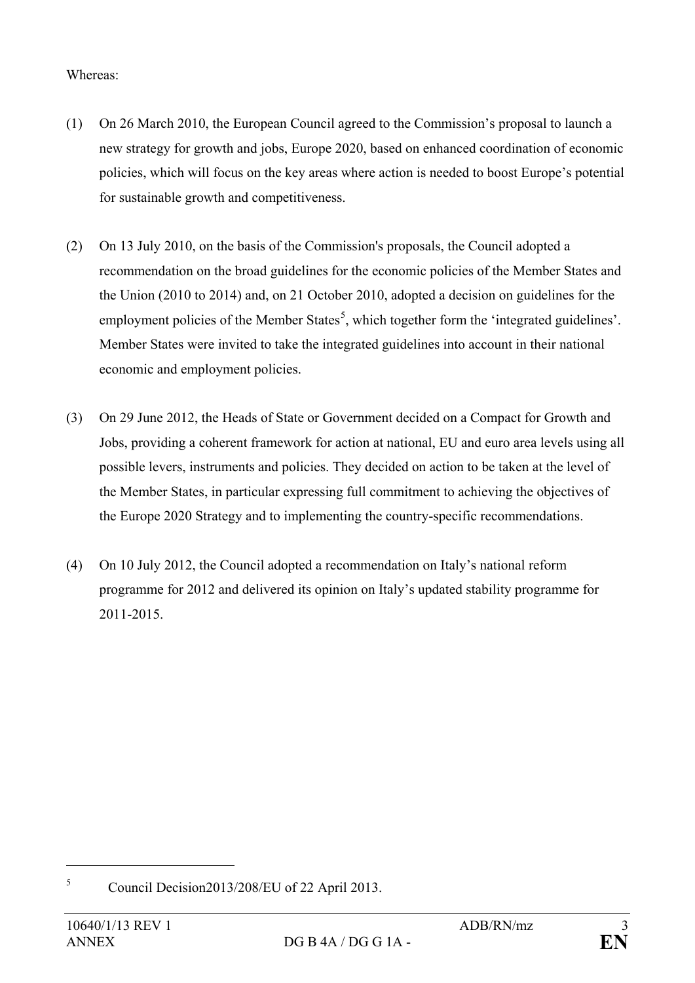# Whereas:

- (1) On 26 March 2010, the European Council agreed to the Commission's proposal to launch a new strategy for growth and jobs, Europe 2020, based on enhanced coordination of economic policies, which will focus on the key areas where action is needed to boost Europe's potential for sustainable growth and competitiveness.
- (2) On 13 July 2010, on the basis of the Commission's proposals, the Council adopted a recommendation on the broad guidelines for the economic policies of the Member States and the Union (2010 to 2014) and, on 21 October 2010, adopted a decision on guidelines for the employment policies of the Member States<sup>[5](#page-2-0)</sup>, which together form the 'integrated guidelines'. Member States were invited to take the integrated guidelines into account in their national economic and employment policies.
- (3) On 29 June 2012, the Heads of State or Government decided on a Compact for Growth and Jobs, providing a coherent framework for action at national, EU and euro area levels using all possible levers, instruments and policies. They decided on action to be taken at the level of the Member States, in particular expressing full commitment to achieving the objectives of the Europe 2020 Strategy and to implementing the country-specific recommendations.
- (4) On 10 July 2012, the Council adopted a recommendation on Italy's national reform programme for 2012 and delivered its opinion on Italy's updated stability programme for 2011-2015.

<span id="page-2-0"></span><sup>5</sup> Council Decision2013/208/EU of 22 April 2013.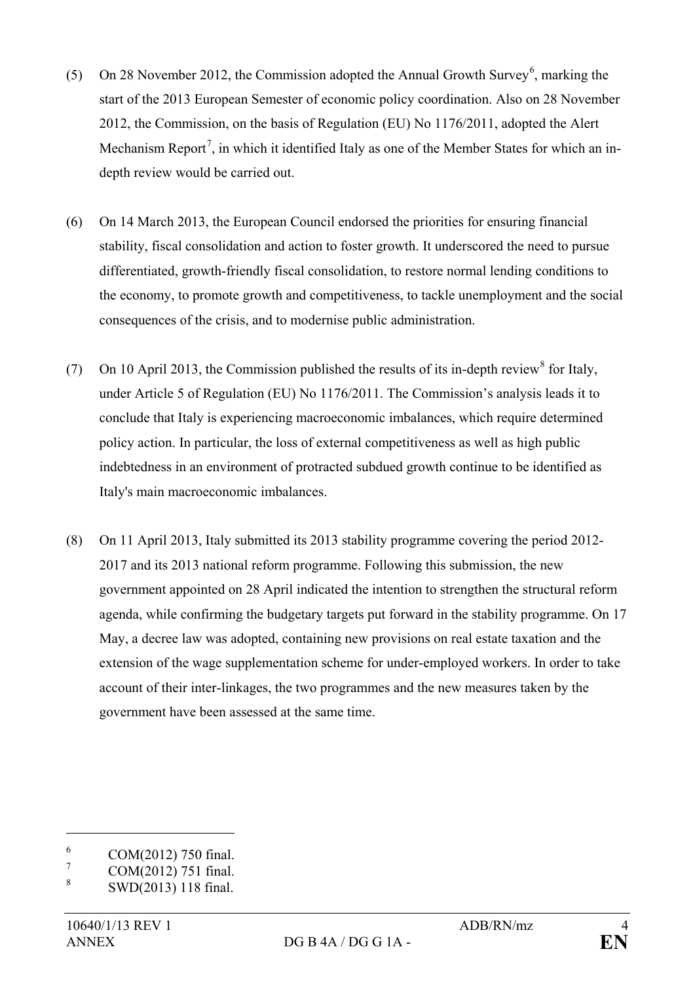- (5) On 28 November 2012, the Commission adopted the Annual Growth Survey<sup>[6](#page-3-0)</sup>, marking the start of the 2013 European Semester of economic policy coordination. Also on 28 November 2012, the Commission, on the basis of Regulation (EU) No 1176/2011, adopted the Alert Mechanism Report<sup>[7](#page-3-1)</sup>, in which it identified Italy as one of the Member States for which an indepth review would be carried out.
- (6) On 14 March 2013, the European Council endorsed the priorities for ensuring financial stability, fiscal consolidation and action to foster growth. It underscored the need to pursue differentiated, growth-friendly fiscal consolidation, to restore normal lending conditions to the economy, to promote growth and competitiveness, to tackle unemployment and the social consequences of the crisis, and to modernise public administration.
- (7) On 10 April 2013, the Commission published the results of its in-depth review<sup>[8](#page-3-2)</sup> for Italy, under Article 5 of Regulation (EU) No 1176/2011. The Commission's analysis leads it to conclude that Italy is experiencing macroeconomic imbalances, which require determined policy action. In particular, the loss of external competitiveness as well as high public indebtedness in an environment of protracted subdued growth continue to be identified as Italy's main macroeconomic imbalances.
- (8) On 11 April 2013, Italy submitted its 2013 stability programme covering the period 2012- 2017 and its 2013 national reform programme. Following this submission, the new government appointed on 28 April indicated the intention to strengthen the structural reform agenda, while confirming the budgetary targets put forward in the stability programme. On 17 May, a decree law was adopted, containing new provisions on real estate taxation and the extension of the wage supplementation scheme for under-employed workers. In order to take account of their inter-linkages, the two programmes and the new measures taken by the government have been assessed at the same time.

<span id="page-3-0"></span> $^{6}$  COM(2012) 750 final.

<span id="page-3-1"></span> $\frac{7}{8}$  COM(2012) 751 final.

<span id="page-3-2"></span><sup>8</sup> SWD(2013) 118 final.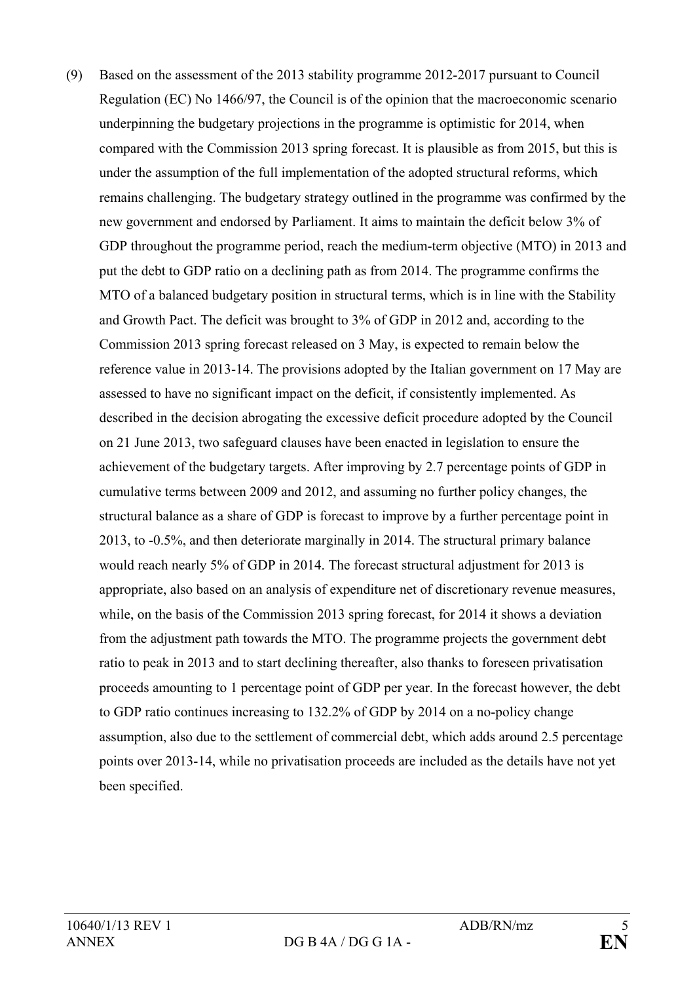(9) Based on the assessment of the 2013 stability programme 2012-2017 pursuant to Council Regulation (EC) No 1466/97, the Council is of the opinion that the macroeconomic scenario underpinning the budgetary projections in the programme is optimistic for 2014, when compared with the Commission 2013 spring forecast. It is plausible as from 2015, but this is under the assumption of the full implementation of the adopted structural reforms, which remains challenging. The budgetary strategy outlined in the programme was confirmed by the new government and endorsed by Parliament. It aims to maintain the deficit below 3% of GDP throughout the programme period, reach the medium-term objective (MTO) in 2013 and put the debt to GDP ratio on a declining path as from 2014. The programme confirms the MTO of a balanced budgetary position in structural terms, which is in line with the Stability and Growth Pact. The deficit was brought to 3% of GDP in 2012 and, according to the Commission 2013 spring forecast released on 3 May, is expected to remain below the reference value in 2013-14. The provisions adopted by the Italian government on 17 May are assessed to have no significant impact on the deficit, if consistently implemented. As described in the decision abrogating the excessive deficit procedure adopted by the Council on 21 June 2013, two safeguard clauses have been enacted in legislation to ensure the achievement of the budgetary targets. After improving by 2.7 percentage points of GDP in cumulative terms between 2009 and 2012, and assuming no further policy changes, the structural balance as a share of GDP is forecast to improve by a further percentage point in 2013, to -0.5%, and then deteriorate marginally in 2014. The structural primary balance would reach nearly 5% of GDP in 2014. The forecast structural adjustment for 2013 is appropriate, also based on an analysis of expenditure net of discretionary revenue measures, while, on the basis of the Commission 2013 spring forecast, for 2014 it shows a deviation from the adjustment path towards the MTO. The programme projects the government debt ratio to peak in 2013 and to start declining thereafter, also thanks to foreseen privatisation proceeds amounting to 1 percentage point of GDP per year. In the forecast however, the debt to GDP ratio continues increasing to 132.2% of GDP by 2014 on a no-policy change assumption, also due to the settlement of commercial debt, which adds around 2.5 percentage points over 2013-14, while no privatisation proceeds are included as the details have not yet been specified.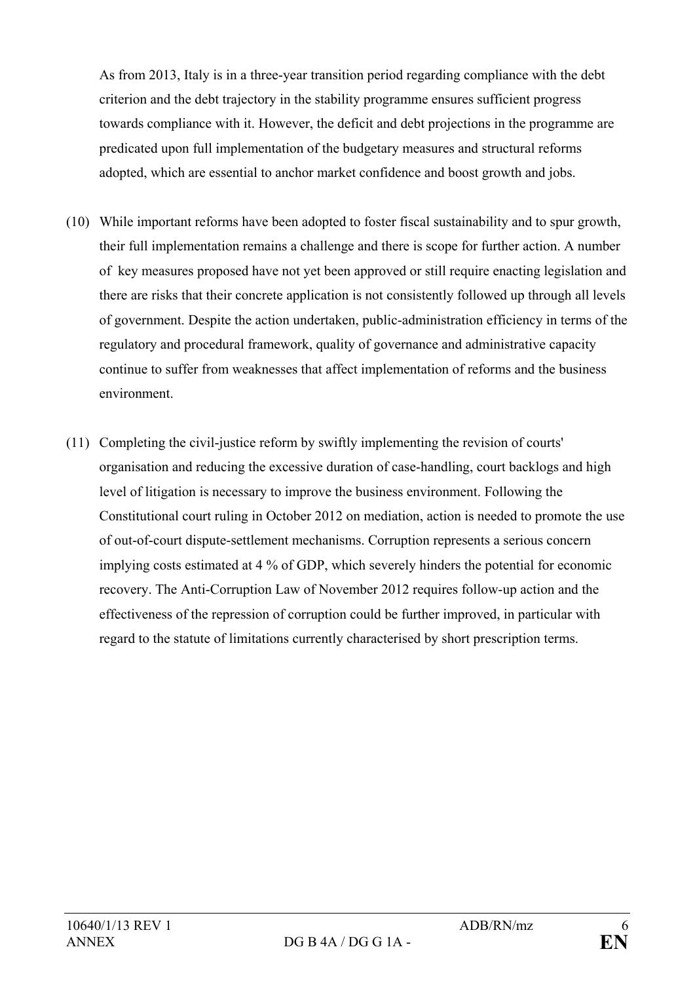As from 2013, Italy is in a three-year transition period regarding compliance with the debt criterion and the debt trajectory in the stability programme ensures sufficient progress towards compliance with it. However, the deficit and debt projections in the programme are predicated upon full implementation of the budgetary measures and structural reforms adopted, which are essential to anchor market confidence and boost growth and jobs.

- (10) While important reforms have been adopted to foster fiscal sustainability and to spur growth, their full implementation remains a challenge and there is scope for further action. A number of key measures proposed have not yet been approved or still require enacting legislation and there are risks that their concrete application is not consistently followed up through all levels of government. Despite the action undertaken, public-administration efficiency in terms of the regulatory and procedural framework, quality of governance and administrative capacity continue to suffer from weaknesses that affect implementation of reforms and the business environment.
- (11) Completing the civil-justice reform by swiftly implementing the revision of courts' organisation and reducing the excessive duration of case-handling, court backlogs and high level of litigation is necessary to improve the business environment. Following the Constitutional court ruling in October 2012 on mediation, action is needed to promote the use of out-of-court dispute-settlement mechanisms. Corruption represents a serious concern implying costs estimated at 4 % of GDP, which severely hinders the potential for economic recovery. The Anti-Corruption Law of November 2012 requires follow-up action and the effectiveness of the repression of corruption could be further improved, in particular with regard to the statute of limitations currently characterised by short prescription terms.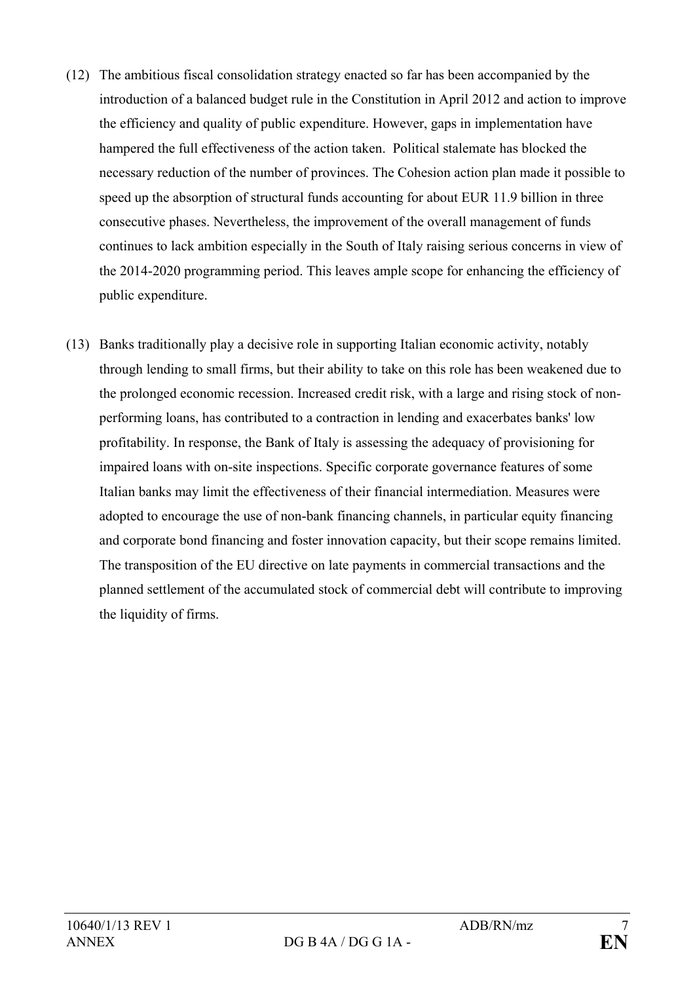- (12) The ambitious fiscal consolidation strategy enacted so far has been accompanied by the introduction of a balanced budget rule in the Constitution in April 2012 and action to improve the efficiency and quality of public expenditure. However, gaps in implementation have hampered the full effectiveness of the action taken. Political stalemate has blocked the necessary reduction of the number of provinces. The Cohesion action plan made it possible to speed up the absorption of structural funds accounting for about EUR 11.9 billion in three consecutive phases. Nevertheless, the improvement of the overall management of funds continues to lack ambition especially in the South of Italy raising serious concerns in view of the 2014-2020 programming period. This leaves ample scope for enhancing the efficiency of public expenditure.
- (13) Banks traditionally play a decisive role in supporting Italian economic activity, notably through lending to small firms, but their ability to take on this role has been weakened due to the prolonged economic recession. Increased credit risk, with a large and rising stock of nonperforming loans, has contributed to a contraction in lending and exacerbates banks' low profitability. In response, the Bank of Italy is assessing the adequacy of provisioning for impaired loans with on-site inspections. Specific corporate governance features of some Italian banks may limit the effectiveness of their financial intermediation. Measures were adopted to encourage the use of non-bank financing channels, in particular equity financing and corporate bond financing and foster innovation capacity, but their scope remains limited. The transposition of the EU directive on late payments in commercial transactions and the planned settlement of the accumulated stock of commercial debt will contribute to improving the liquidity of firms.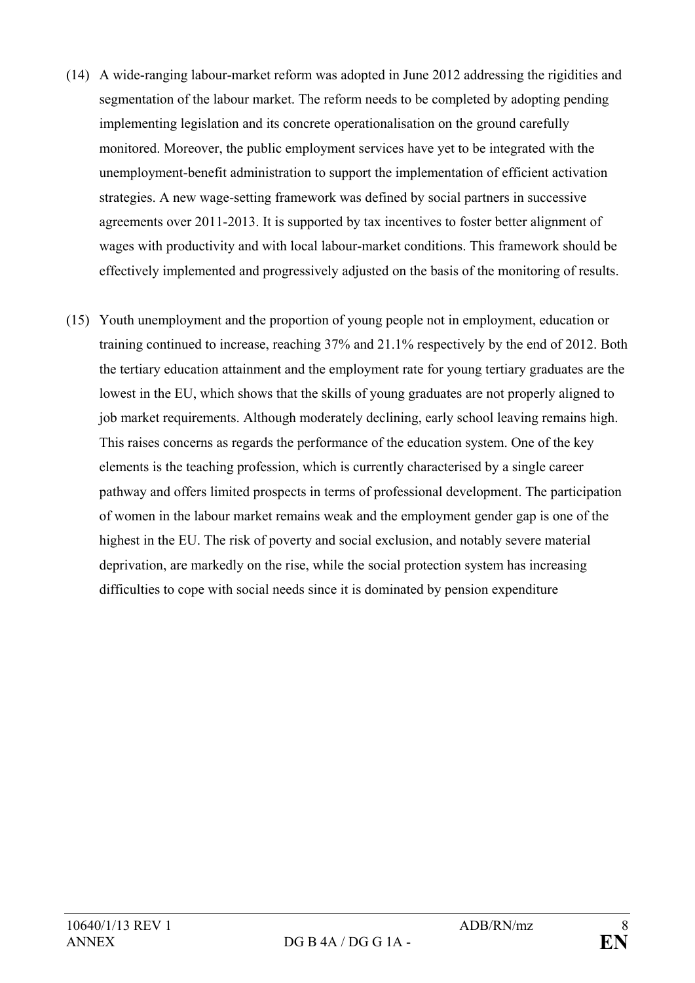- (14) A wide-ranging labour-market reform was adopted in June 2012 addressing the rigidities and segmentation of the labour market. The reform needs to be completed by adopting pending implementing legislation and its concrete operationalisation on the ground carefully monitored. Moreover, the public employment services have yet to be integrated with the unemployment-benefit administration to support the implementation of efficient activation strategies. A new wage-setting framework was defined by social partners in successive agreements over 2011-2013. It is supported by tax incentives to foster better alignment of wages with productivity and with local labour-market conditions. This framework should be effectively implemented and progressively adjusted on the basis of the monitoring of results.
- (15) Youth unemployment and the proportion of young people not in employment, education or training continued to increase, reaching 37% and 21.1% respectively by the end of 2012. Both the tertiary education attainment and the employment rate for young tertiary graduates are the lowest in the EU, which shows that the skills of young graduates are not properly aligned to job market requirements. Although moderately declining, early school leaving remains high. This raises concerns as regards the performance of the education system. One of the key elements is the teaching profession, which is currently characterised by a single career pathway and offers limited prospects in terms of professional development. The participation of women in the labour market remains weak and the employment gender gap is one of the highest in the EU. The risk of poverty and social exclusion, and notably severe material deprivation, are markedly on the rise, while the social protection system has increasing difficulties to cope with social needs since it is dominated by pension expenditure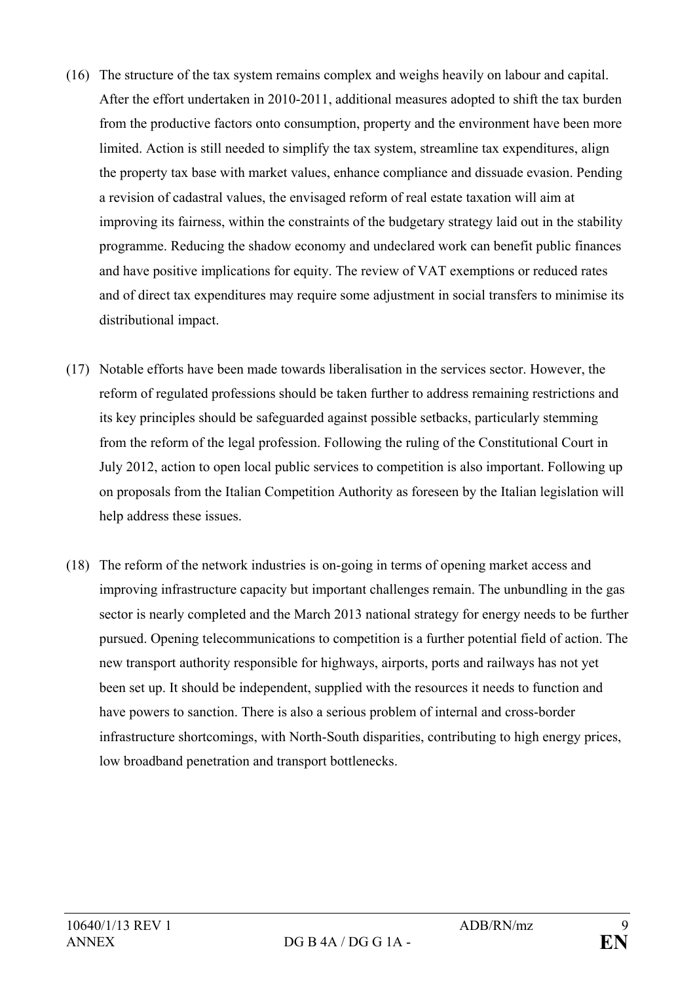- (16) The structure of the tax system remains complex and weighs heavily on labour and capital. After the effort undertaken in 2010-2011, additional measures adopted to shift the tax burden from the productive factors onto consumption, property and the environment have been more limited. Action is still needed to simplify the tax system, streamline tax expenditures, align the property tax base with market values, enhance compliance and dissuade evasion. Pending a revision of cadastral values, the envisaged reform of real estate taxation will aim at improving its fairness, within the constraints of the budgetary strategy laid out in the stability programme. Reducing the shadow economy and undeclared work can benefit public finances and have positive implications for equity. The review of VAT exemptions or reduced rates and of direct tax expenditures may require some adjustment in social transfers to minimise its distributional impact.
- (17) Notable efforts have been made towards liberalisation in the services sector. However, the reform of regulated professions should be taken further to address remaining restrictions and its key principles should be safeguarded against possible setbacks, particularly stemming from the reform of the legal profession. Following the ruling of the Constitutional Court in July 2012, action to open local public services to competition is also important. Following up on proposals from the Italian Competition Authority as foreseen by the Italian legislation will help address these issues.
- (18) The reform of the network industries is on-going in terms of opening market access and improving infrastructure capacity but important challenges remain. The unbundling in the gas sector is nearly completed and the March 2013 national strategy for energy needs to be further pursued. Opening telecommunications to competition is a further potential field of action. The new transport authority responsible for highways, airports, ports and railways has not yet been set up. It should be independent, supplied with the resources it needs to function and have powers to sanction. There is also a serious problem of internal and cross-border infrastructure shortcomings, with North-South disparities, contributing to high energy prices, low broadband penetration and transport bottlenecks.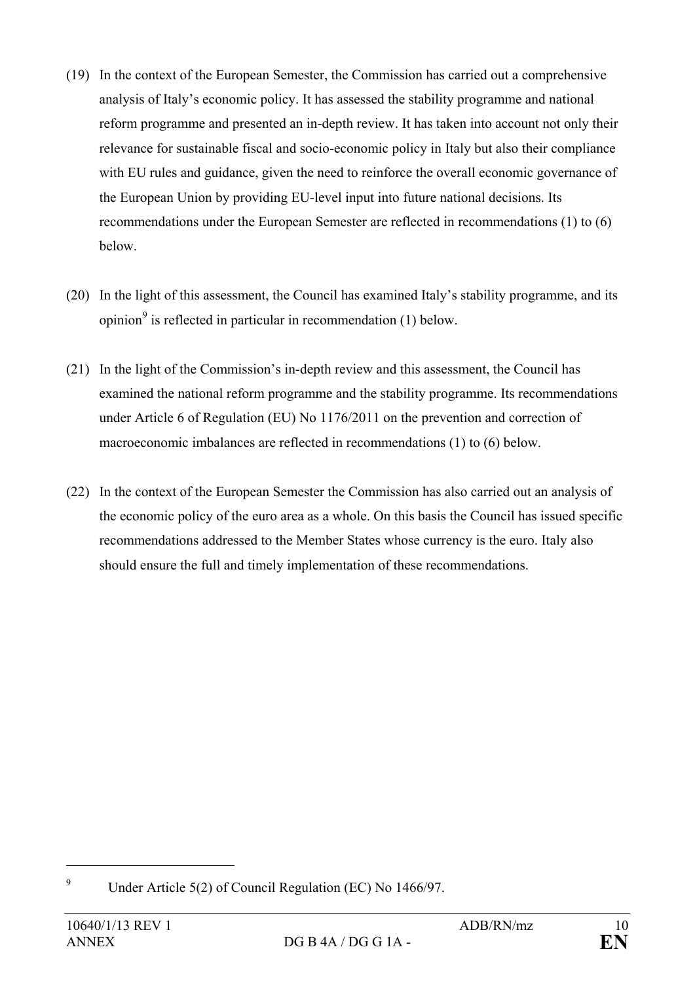- (19) In the context of the European Semester, the Commission has carried out a comprehensive analysis of Italy's economic policy. It has assessed the stability programme and national reform programme and presented an in-depth review. It has taken into account not only their relevance for sustainable fiscal and socio-economic policy in Italy but also their compliance with EU rules and guidance, given the need to reinforce the overall economic governance of the European Union by providing EU-level input into future national decisions. Its recommendations under the European Semester are reflected in recommendations (1) to (6) below.
- (20) In the light of this assessment, the Council has examined Italy's stability programme, and its opinion<sup>[9](#page-9-0)</sup> is reflected in particular in recommendation  $(1)$  below.
- (21) In the light of the Commission's in-depth review and this assessment, the Council has examined the national reform programme and the stability programme. Its recommendations under Article 6 of Regulation (EU) No 1176/2011 on the prevention and correction of macroeconomic imbalances are reflected in recommendations (1) to (6) below.
- (22) In the context of the European Semester the Commission has also carried out an analysis of the economic policy of the euro area as a whole. On this basis the Council has issued specific recommendations addressed to the Member States whose currency is the euro. Italy also should ensure the full and timely implementation of these recommendations.

<span id="page-9-0"></span><sup>9</sup> Under Article 5(2) of Council Regulation (EC) No 1466/97.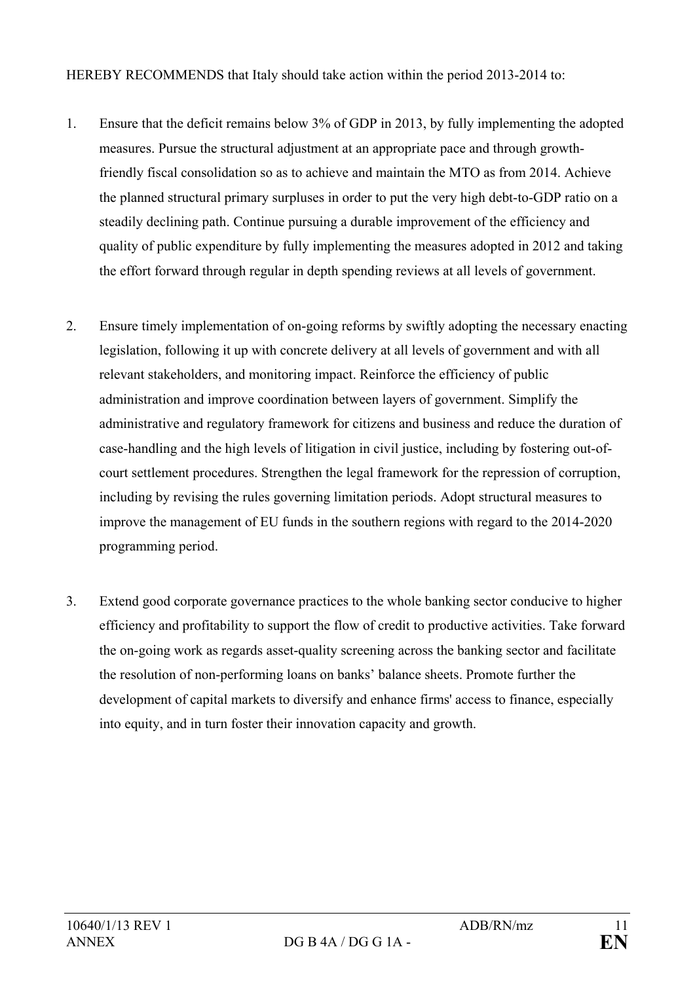HEREBY RECOMMENDS that Italy should take action within the period 2013-2014 to:

- 1. Ensure that the deficit remains below 3% of GDP in 2013, by fully implementing the adopted measures. Pursue the structural adjustment at an appropriate pace and through growthfriendly fiscal consolidation so as to achieve and maintain the MTO as from 2014. Achieve the planned structural primary surpluses in order to put the very high debt-to-GDP ratio on a steadily declining path. Continue pursuing a durable improvement of the efficiency and quality of public expenditure by fully implementing the measures adopted in 2012 and taking the effort forward through regular in depth spending reviews at all levels of government.
- 2. Ensure timely implementation of on-going reforms by swiftly adopting the necessary enacting legislation, following it up with concrete delivery at all levels of government and with all relevant stakeholders, and monitoring impact. Reinforce the efficiency of public administration and improve coordination between layers of government. Simplify the administrative and regulatory framework for citizens and business and reduce the duration of case-handling and the high levels of litigation in civil justice, including by fostering out-ofcourt settlement procedures. Strengthen the legal framework for the repression of corruption, including by revising the rules governing limitation periods. Adopt structural measures to improve the management of EU funds in the southern regions with regard to the 2014-2020 programming period.
- 3. Extend good corporate governance practices to the whole banking sector conducive to higher efficiency and profitability to support the flow of credit to productive activities. Take forward the on-going work as regards asset-quality screening across the banking sector and facilitate the resolution of non-performing loans on banks' balance sheets. Promote further the development of capital markets to diversify and enhance firms' access to finance, especially into equity, and in turn foster their innovation capacity and growth.